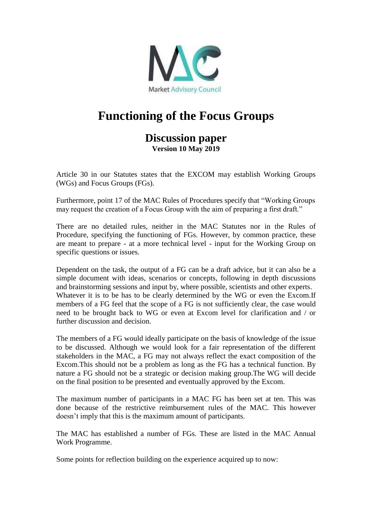

## **Functioning of the Focus Groups**

## **Discussion paper Version 10 May 2019**

Article 30 in our Statutes states that the EXCOM may establish Working Groups (WGs) and Focus Groups (FGs).

Furthermore, point 17 of the MAC Rules of Procedures specify that "Working Groups may request the creation of a Focus Group with the aim of preparing a first draft."

There are no detailed rules, neither in the MAC Statutes nor in the Rules of Procedure, specifying the functioning of FGs. However, by common practice, these are meant to prepare - at a more technical level - input for the Working Group on specific questions or issues.

Dependent on the task, the output of a FG can be a draft advice, but it can also be a simple document with ideas, scenarios or concepts, following in depth discussions and brainstorming sessions and input by, where possible, scientists and other experts. Whatever it is to be has to be clearly determined by the WG or even the Excom.If members of a FG feel that the scope of a FG is not sufficiently clear, the case would need to be brought back to WG or even at Excom level for clarification and / or further discussion and decision.

The members of a FG would ideally participate on the basis of knowledge of the issue to be discussed. Although we would look for a fair representation of the different stakeholders in the MAC, a FG may not always reflect the exact composition of the Excom.This should not be a problem as long as the FG has a technical function. By nature a FG should not be a strategic or decision making group.The WG will decide on the final position to be presented and eventually approved by the Excom.

The maximum number of participants in a MAC FG has been set at ten. This was done because of the restrictive reimbursement rules of the MAC. This however doesn't imply that this is the maximum amount of participants.

The MAC has established a number of FGs. These are listed in the MAC Annual Work Programme.

Some points for reflection building on the experience acquired up to now: